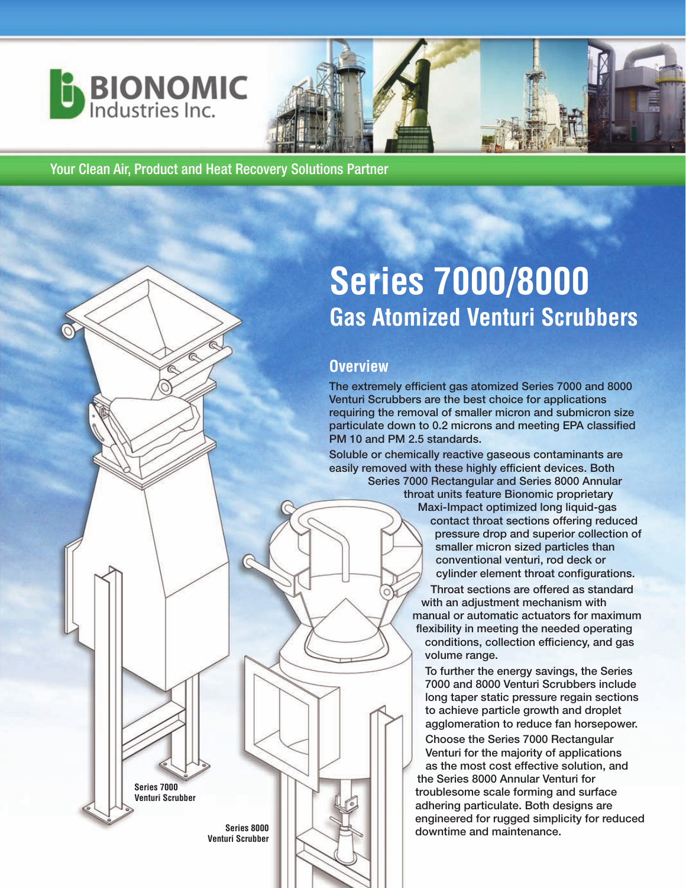



# **Series 7000/8000 Gas Atomized Venturi Scrubbers**

#### **Overview**

**The extremely efficient gas atomized Series 7000 and 8000 Venturi Scrubbers are the best choice for applications requiring the removal of smaller micron and submicron size particulate down to 0.2 microns and meeting EPA classified PM 10 and PM 2.5 standards.** 

**Soluble or chemically reactive gaseous contaminants are easily removed with these highly efficient devices. Both Series 7000 Rectangular and Series 8000 Annular**

**throat units feature Bionomic proprietary Maxi-Impact optimized long liquid-gas contact throat sections offering reduced pressure drop and superior collection of smaller micron sized particles than conventional venturi, rod deck or cylinder element throat configurations. Throat sections are offered as standard with an adjustment mechanism with manual or automatic actuators for maximum flexibility in meeting the needed operating conditions, collection efficiency, and gas volume range.**

**To further the energy savings, the Series 7000 and 8000 Venturi Scrubbers include long taper static pressure regain sections to achieve particle growth and droplet agglomeration to reduce fan horsepower.**

**Choose the Series 7000 Rectangular Venturi for the majority of applications as the most cost effective solution, and the Series 8000 Annular Venturi for troublesome scale forming and surface adhering particulate. Both designs are engineered for rugged simplicity for reduced downtime and maintenance.**

**Series 8000 Venturi Scrubber**

**Series 7000 Venturi Scrubber**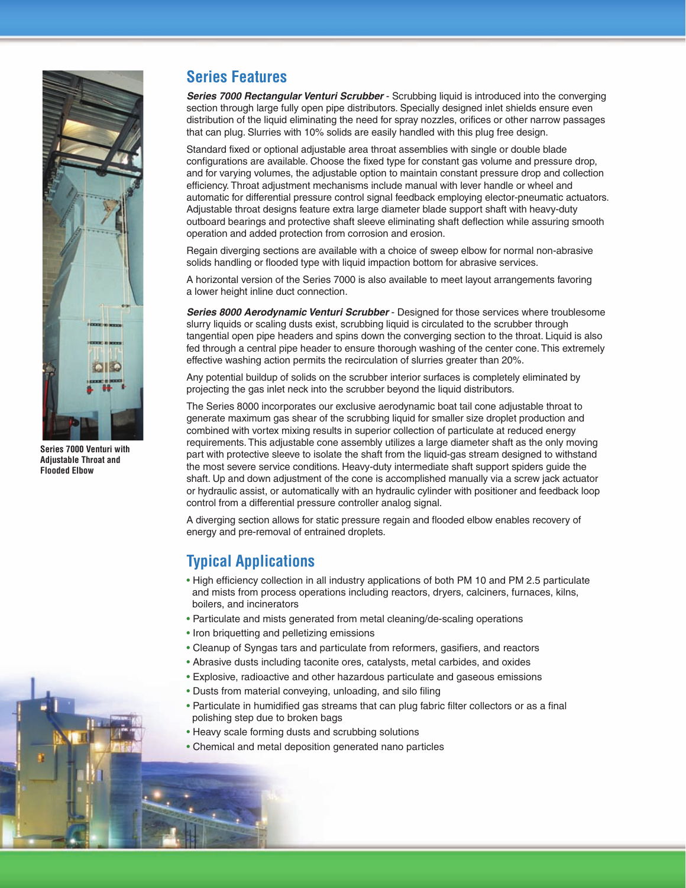

**Series 7000 Venturi with Adjustable Throat and Flooded Elbow**

#### **Series Features**

**Series 7000 Rectangular Venturi Scrubber** - Scrubbing liquid is introduced into the converging section through large fully open pipe distributors. Specially designed inlet shields ensure even distribution of the liquid eliminating the need for spray nozzles, orifices or other narrow passages that can plug. Slurries with 10% solids are easily handled with this plug free design.

Standard fixed or optional adjustable area throat assemblies with single or double blade configurations are available. Choose the fixed type for constant gas volume and pressure drop, and for varying volumes, the adjustable option to maintain constant pressure drop and collection efficiency. Throat adjustment mechanisms include manual with lever handle or wheel and automatic for differential pressure control signal feedback employing elector-pneumatic actuators. Adjustable throat designs feature extra large diameter blade support shaft with heavy-duty outboard bearings and protective shaft sleeve eliminating shaft deflection while assuring smooth operation and added protection from corrosion and erosion.

Regain diverging sections are available with a choice of sweep elbow for normal non-abrasive solids handling or flooded type with liquid impaction bottom for abrasive services.

A horizontal version of the Series 7000 is also available to meet layout arrangements favoring a lower height inline duct connection.

**Series 8000 Aerodynamic Venturi Scrubber** - Designed for those services where troublesome slurry liquids or scaling dusts exist, scrubbing liquid is circulated to the scrubber through tangential open pipe headers and spins down the converging section to the throat. Liquid is also fed through a central pipe header to ensure thorough washing of the center cone. This extremely effective washing action permits the recirculation of slurries greater than 20%.

Any potential buildup of solids on the scrubber interior surfaces is completely eliminated by projecting the gas inlet neck into the scrubber beyond the liquid distributors.

The Series 8000 incorporates our exclusive aerodynamic boat tail cone adjustable throat to generate maximum gas shear of the scrubbing liquid for smaller size droplet production and combined with vortex mixing results in superior collection of particulate at reduced energy requirements. This adjustable cone assembly utilizes a large diameter shaft as the only moving part with protective sleeve to isolate the shaft from the liquid-gas stream designed to withstand the most severe service conditions. Heavy-duty intermediate shaft support spiders guide the shaft. Up and down adjustment of the cone is accomplished manually via a screw jack actuator or hydraulic assist, or automatically with an hydraulic cylinder with positioner and feedback loop control from a differential pressure controller analog signal.

A diverging section allows for static pressure regain and flooded elbow enables recovery of energy and pre-removal of entrained droplets.

#### **Typical Applications**

- High efficiency collection in all industry applications of both PM 10 and PM 2.5 particulate and mists from process operations including reactors, dryers, calciners, furnaces, kilns, boilers, and incinerators
- Particulate and mists generated from metal cleaning/de-scaling operations
- Iron briquetting and pelletizing emissions
- Cleanup of Syngas tars and particulate from reformers, gasifiers, and reactors
- Abrasive dusts including taconite ores, catalysts, metal carbides, and oxides
- Explosive, radioactive and other hazardous particulate and gaseous emissions
- Dusts from material conveying, unloading, and silo filing
- Particulate in humidified gas streams that can plug fabric filter collectors or as a final polishing step due to broken bags
- Heavy scale forming dusts and scrubbing solutions
- Chemical and metal deposition generated nano particles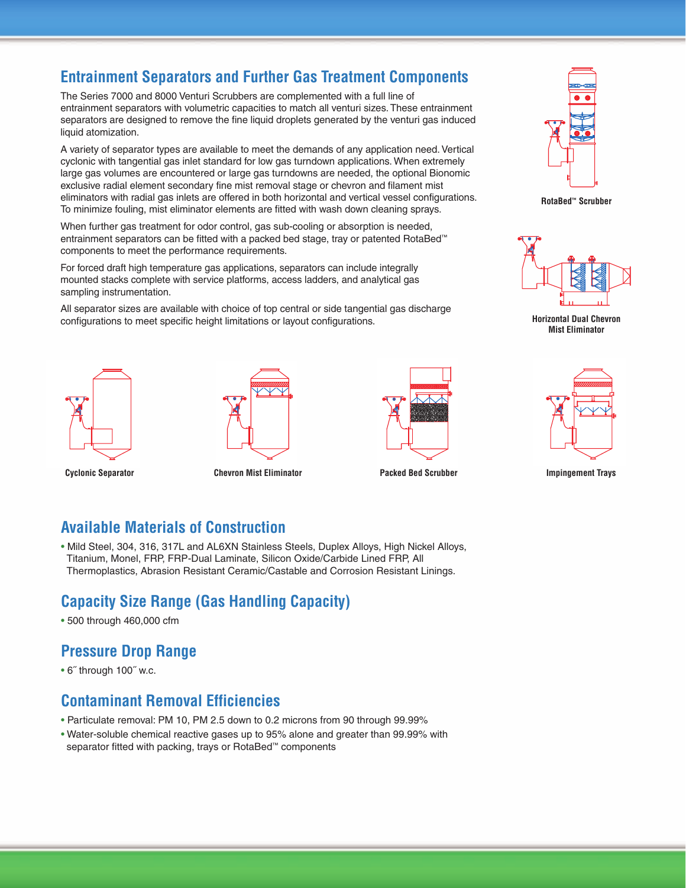#### **Entrainment Separators and Further Gas Treatment Components**

The Series 7000 and 8000 Venturi Scrubbers are complemented with a full line of entrainment separators with volumetric capacities to match all venturi sizes. These entrainment separators are designed to remove the fine liquid droplets generated by the venturi gas induced liquid atomization.

A variety of separator types are available to meet the demands of any application need. Vertical cyclonic with tangential gas inlet standard for low gas turndown applications. When extremely large gas volumes are encountered or large gas turndowns are needed, the optional Bionomic exclusive radial element secondary fine mist removal stage or chevron and filament mist eliminators with radial gas inlets are offered in both horizontal and vertical vessel configurations. To minimize fouling, mist eliminator elements are fitted with wash down cleaning sprays.

When further gas treatment for odor control, gas sub-cooling or absorption is needed, entrainment separators can be fitted with a packed bed stage, tray or patented RotaBed™ components to meet the performance requirements.

For forced draft high temperature gas applications, separators can include integrally mounted stacks complete with service platforms, access ladders, and analytical gas sampling instrumentation.

All separator sizes are available with choice of top central or side tangential gas discharge configurations to meet specific height limitations or layout configurations.









**RotaBed™ Scrubber**



**Horizontal Dual Chevron Mist Eliminator**



**Cyclonic Separator Chevron Mist Eliminator Packed Bed Scrubber Impingement Trays**

#### **Available Materials of Construction**

• Mild Steel, 304, 316, 317L and AL6XN Stainless Steels, Duplex Alloys, High Nickel Alloys, Titanium, Monel, FRP, FRP-Dual Laminate, Silicon Oxide/Carbide Lined FRP, All Thermoplastics, Abrasion Resistant Ceramic/Castable and Corrosion Resistant Linings.

## **Capacity Size Range (Gas Handling Capacity)**

• 500 through 460,000 cfm

## **Pressure Drop Range**

• 6˝ through 100˝ w.c.

#### **Contaminant Removal Efficiencies**

- Particulate removal: PM 10, PM 2.5 down to 0.2 microns from 90 through 99.99%
- Water-soluble chemical reactive gases up to 95% alone and greater than 99.99% with separator fitted with packing, trays or RotaBed™ components